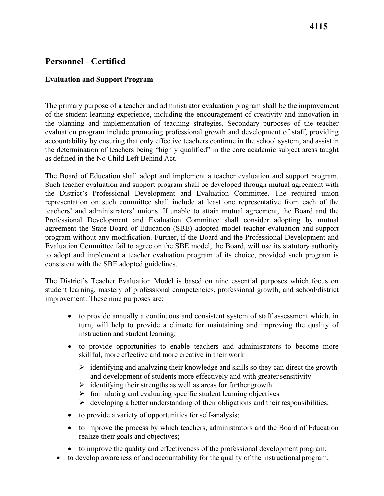# **Personnel - Certified**

#### **Evaluation and Support Program**

 The primary purpose of a teacher and administrator evaluation program shall be the improvement as defined in the No Child Left Behind Act. of the student learning experience, including the encouragement of creativity and innovation in the planning and implementation of teaching strategies. Secondary purposes of the teacher evaluation program include promoting professional growth and development of staff, providing accountability by ensuring that only effective teachers continue in the school system, and assist in the determination of teachers being "highly qualified" in the core academic subject areas taught

 consistent with the SBE adopted guidelines. The Board of Education shall adopt and implement a teacher evaluation and support program. Such teacher evaluation and support program shall be developed through mutual agreement with the District's Professional Development and Evaluation Committee. The required union representation on such committee shall include at least one representative from each of the teachers' and administrators' unions. If unable to attain mutual agreement, the Board and the Professional Development and Evaluation Committee shall consider adopting by mutual agreement the State Board of Education (SBE) adopted model teacher evaluation and support program without any modification. Further, if the Board and the Professional Development and Evaluation Committee fail to agree on the SBE model, the Board, will use its statutory authority to adopt and implement a teacher evaluation program of its choice, provided such program is

The District's Teacher Evaluation Model is based on nine essential purposes which focus on student learning, mastery of professional competencies, professional growth, and school/district improvement. These nine purposes are:

- instruction and student learning; • to provide annually a continuous and consistent system of staff assessment which, in turn, will help to provide a climate for maintaining and improving the quality of
- skillful, more effective and more creative in their work • to provide opportunities to enable teachers and administrators to become more
	- and development of students more effectively and with greater sensitivity  $\triangleright$  identifying and analyzing their knowledge and skills so they can direct the growth
	- $\triangleright$  identifying their strengths as well as areas for further growth
	- $\triangleright$  formulating and evaluating specific student learning objectives
	- $\triangleright$  developing a better understanding of their obligations and their responsibilities;
- to provide a variety of opportunities for self-analysis;
- realize their goals and objectives; • to improve the process by which teachers, administrators and the Board of Education
- to improve the quality and effectiveness of the professional development program;
- to develop awareness of and accountability for the quality of the instructionalprogram;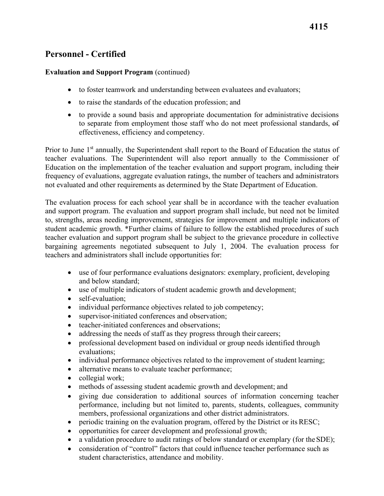## **Personnel - Certified**

#### **Evaluation and Support Program** (continued)

- to foster teamwork and understanding between evaluatees and evaluators;
- to raise the standards of the education profession; and
- to provide a sound basis and appropriate documentation for administrative decisions to separate from employment those staff who do not meet professional standards, of effectiveness, efficiency and competency.

Prior to June 1<sup>st</sup> annually, the Superintendent shall report to the Board of Education the status of teacher evaluations. The Superintendent will also report annually to the Commissioner of Education on the implementation of the teacher evaluation and support program, including their frequency of evaluations, aggregate evaluation ratings, the number of teachers and administrators not evaluated and other requirements as determined by the State Department of Education.

 teachers and administrators shall include opportunities for: The evaluation process for each school year shall be in accordance with the teacher evaluation and support program. The evaluation and support program shall include, but need not be limited to, strengths, areas needing improvement, strategies for improvement and multiple indicators of student academic growth. \*Further claims of failure to follow the established procedures of such teacher evaluation and support program shall be subject to the grievance procedure in collective bargaining agreements negotiated subsequent to July 1, 2004. The evaluation process for

- and below standard; • use of four performance evaluations designators: exemplary, proficient, developing
- use of multiple indicators of student academic growth and development;
- self-evaluation;
- individual performance objectives related to job competency;
- supervisor-initiated conferences and observation;
- teacher-initiated conferences and observations;
- addressing the needs of staff as they progress through their careers;
- professional development based on individual or group needs identified through evaluations;
- individual performance objectives related to the improvement of student learning;
- alternative means to evaluate teacher performance;
- collegial work;
- methods of assessing student academic growth and development; and
- giving due consideration to additional sources of information concerning teacher performance, including but not limited to, parents, students, colleagues, community members, professional organizations and other district administrators.
- periodic training on the evaluation program, offered by the District or its RESC;
- opportunities for career development and professional growth;
- a validation procedure to audit ratings of below standard or exemplary (for the SDE);
- student characteristics, attendance and mobility. • consideration of "control" factors that could influence teacher performance such as